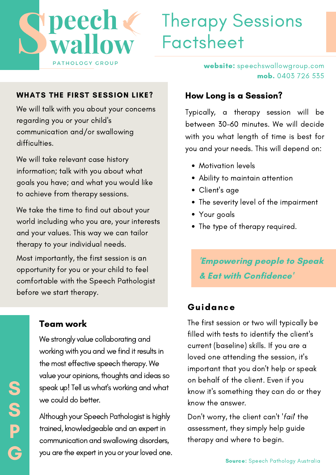

# Therapy Sessions Factsheet

#### WHATS THE FIRST SESSION LIKE?

We will talk with you about your concerns regarding you or your child's communication and/or swallowing difficulties.

We will take relevant case history information; talk with you about what goals you have; and what you would like to achieve from therapy sessions.

We take the time to find out about your world including who you are, your interests and your values. This way we can tailor therapy to your individual needs.

Most importantly, the first session is an opportunity for you or your child to feel comfortable with the Speech Pathologist before we start therapy.

### Team work

We strongly value collaborating and working with you and we find it results in the most effective speech therapy. We value your opinions, thoughts and ideas so speak up! Tell us what's working and what we could do better.

Although your Speech Pathologist is highly trained, knowledgeable and an expert in communication and swallowing disorders, you are the expert in you or your loved one. How Long is a Session?

Typically, a therapy session will be between 30-60 minutes. We will decide with you what length of time is best for you and your needs. This will depend on:

website: speechswallowgroup.com

mob. 0403 726 535

- Motivation levels
- Ability to maintain attention
- Client's age
- The severity level of the impairment
- Your goals
- The type of therapy required.

'Empowering people to Speak & Eat with Confidence'

#### Guidance

The first session or two will typically be filled with tests to identify the client's current (baseline) skills. If you are a loved one attending the session, it's important that you don't help or speak on behalf of the client. Even if you know it's something they can do or they know the answer.

Don't worry, the client can't 'fail' the assessment, they simply help guide therapy and where to begin.